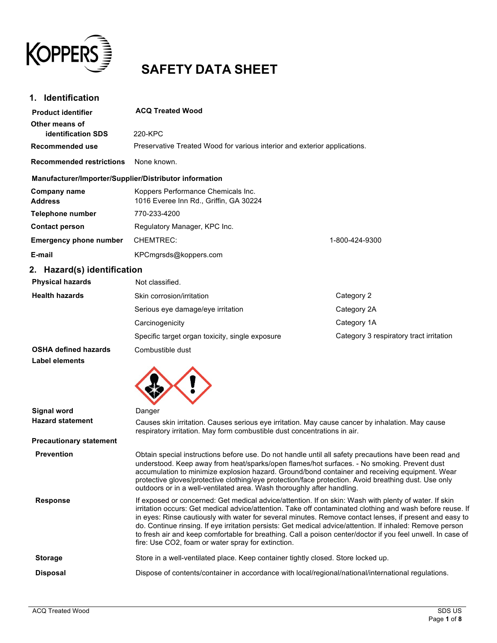

# **SAFETY DATA SHEET**

| <b>Identification</b><br>1.                            |                                                                              |                                         |
|--------------------------------------------------------|------------------------------------------------------------------------------|-----------------------------------------|
| <b>Product identifier</b>                              | <b>ACQ Treated Wood</b>                                                      |                                         |
| Other means of<br><b>identification SDS</b>            | 220-KPC                                                                      |                                         |
| <b>Recommended use</b>                                 | Preservative Treated Wood for various interior and exterior applications.    |                                         |
| <b>Recommended restrictions</b>                        | None known.                                                                  |                                         |
| Manufacturer/Importer/Supplier/Distributor information |                                                                              |                                         |
| Company name<br><b>Address</b>                         | Koppers Performance Chemicals Inc.<br>1016 Everee Inn Rd., Griffin, GA 30224 |                                         |
| Telephone number                                       | 770-233-4200                                                                 |                                         |
| <b>Contact person</b>                                  | Regulatory Manager, KPC Inc.                                                 |                                         |
| <b>Emergency phone number</b>                          | <b>CHEMTREC:</b>                                                             | 1-800-424-9300                          |
| E-mail                                                 | KPCmgrsds@koppers.com                                                        |                                         |
| 2. Hazard(s) identification                            |                                                                              |                                         |
| <b>Physical hazards</b>                                | Not classified.                                                              |                                         |
| <b>Health hazards</b>                                  | Skin corrosion/irritation                                                    | Category 2                              |
|                                                        | Serious eye damage/eye irritation                                            | Category 2A                             |
|                                                        | Carcinogenicity                                                              | Category 1A                             |
|                                                        | Specific target organ toxicity, single exposure                              | Category 3 respiratory tract irritation |
| <b>OSHA defined hazards</b><br><b>Label elements</b>   | Combustible dust                                                             |                                         |
|                                                        |                                                                              |                                         |

| <b>Signal word</b>             | Danger                                                                                                                                                                                                                                                                                                                                                                                                                                                                                                                                                                                                          |
|--------------------------------|-----------------------------------------------------------------------------------------------------------------------------------------------------------------------------------------------------------------------------------------------------------------------------------------------------------------------------------------------------------------------------------------------------------------------------------------------------------------------------------------------------------------------------------------------------------------------------------------------------------------|
| <b>Hazard statement</b>        | Causes skin irritation. Causes serious eye irritation. May cause cancer by inhalation. May cause<br>respiratory irritation. May form combustible dust concentrations in air.                                                                                                                                                                                                                                                                                                                                                                                                                                    |
| <b>Precautionary statement</b> |                                                                                                                                                                                                                                                                                                                                                                                                                                                                                                                                                                                                                 |
| <b>Prevention</b>              | Obtain special instructions before use. Do not handle until all safety precautions have been read and<br>understood. Keep away from heat/sparks/open flames/hot surfaces. - No smoking. Prevent dust<br>accumulation to minimize explosion hazard. Ground/bond container and receiving equipment. Wear<br>protective gloves/protective clothing/eye protection/face protection. Avoid breathing dust. Use only<br>outdoors or in a well-ventilated area. Wash thoroughly after handling.                                                                                                                        |
| <b>Response</b>                | If exposed or concerned: Get medical advice/attention. If on skin: Wash with plenty of water. If skin<br>irritation occurs: Get medical advice/attention. Take off contaminated clothing and wash before reuse. If<br>in eyes: Rinse cautiously with water for several minutes. Remove contact lenses, if present and easy to<br>do. Continue rinsing. If eye irritation persists: Get medical advice/attention. If inhaled: Remove person<br>to fresh air and keep comfortable for breathing. Call a poison center/doctor if you feel unwell. In case of<br>fire: Use CO2, foam or water spray for extinction. |
| <b>Storage</b>                 | Store in a well-ventilated place. Keep container tightly closed. Store locked up.                                                                                                                                                                                                                                                                                                                                                                                                                                                                                                                               |
| <b>Disposal</b>                | Dispose of contents/container in accordance with local/regional/national/international regulations.                                                                                                                                                                                                                                                                                                                                                                                                                                                                                                             |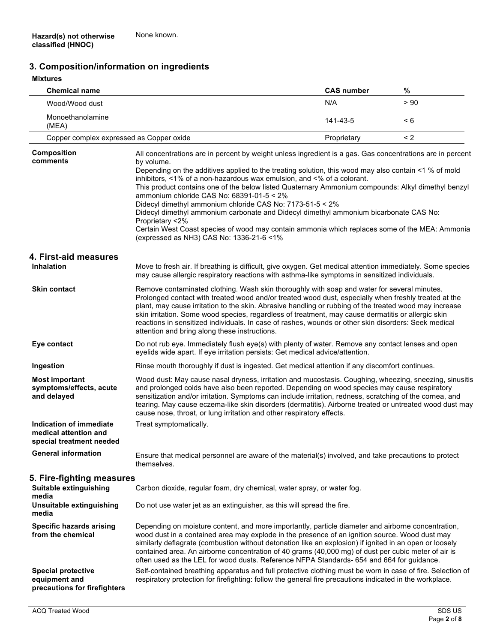# **3. Composition/information on ingredients**

### **2.Mixtures**

| <b>Chemical name</b>                                                                |                                                                                                                                                                                                                                                                                                                                                                                                                                                                                                                                                                                                                                                                                                                                                                                     | <b>CAS number</b> | %    |
|-------------------------------------------------------------------------------------|-------------------------------------------------------------------------------------------------------------------------------------------------------------------------------------------------------------------------------------------------------------------------------------------------------------------------------------------------------------------------------------------------------------------------------------------------------------------------------------------------------------------------------------------------------------------------------------------------------------------------------------------------------------------------------------------------------------------------------------------------------------------------------------|-------------------|------|
| Wood/Wood dust                                                                      |                                                                                                                                                                                                                                                                                                                                                                                                                                                                                                                                                                                                                                                                                                                                                                                     | N/A               | > 90 |
| Monoethanolamine<br>(MEA)                                                           |                                                                                                                                                                                                                                                                                                                                                                                                                                                                                                                                                                                                                                                                                                                                                                                     | 141-43-5          | < 6  |
| Copper complex expressed as Copper oxide                                            |                                                                                                                                                                                                                                                                                                                                                                                                                                                                                                                                                                                                                                                                                                                                                                                     | Proprietary       | < 2  |
| <b>Composition</b><br>comments                                                      | All concentrations are in percent by weight unless ingredient is a gas. Gas concentrations are in percent<br>by volume.<br>Depending on the additives applied to the treating solution, this wood may also contain <1 % of mold<br>inhibitors, <1% of a non-hazardous wax emulsion, and <% of a colorant.<br>This product contains one of the below listed Quaternary Ammonium compounds: Alkyl dimethyl benzyl<br>ammonium chloride CAS No: 68391-01-5 < 2%<br>Didecyl dimethyl ammonium chloride CAS No: 7173-51-5 < 2%<br>Didecyl dimethyl ammonium carbonate and Didecyl dimethyl ammonium bicarbonate CAS No:<br>Proprietary <2%<br>Certain West Coast species of wood may contain ammonia which replaces some of the MEA: Ammonia<br>(expressed as NH3) CAS No: 1336-21-6 <1% |                   |      |
| 4. First-aid measures                                                               |                                                                                                                                                                                                                                                                                                                                                                                                                                                                                                                                                                                                                                                                                                                                                                                     |                   |      |
| <b>Inhalation</b>                                                                   | Move to fresh air. If breathing is difficult, give oxygen. Get medical attention immediately. Some species<br>may cause allergic respiratory reactions with asthma-like symptoms in sensitized individuals.                                                                                                                                                                                                                                                                                                                                                                                                                                                                                                                                                                         |                   |      |
| <b>Skin contact</b>                                                                 | Remove contaminated clothing. Wash skin thoroughly with soap and water for several minutes.<br>Prolonged contact with treated wood and/or treated wood dust, especially when freshly treated at the<br>plant, may cause irritation to the skin. Abrasive handling or rubbing of the treated wood may increase<br>skin irritation. Some wood species, regardless of treatment, may cause dermatitis or allergic skin<br>reactions in sensitized individuals. In case of rashes, wounds or other skin disorders: Seek medical<br>attention and bring along these instructions.                                                                                                                                                                                                        |                   |      |
| Eye contact                                                                         | Do not rub eye. Immediately flush eye(s) with plenty of water. Remove any contact lenses and open<br>eyelids wide apart. If eye irritation persists: Get medical advice/attention.                                                                                                                                                                                                                                                                                                                                                                                                                                                                                                                                                                                                  |                   |      |
| Ingestion                                                                           | Rinse mouth thoroughly if dust is ingested. Get medical attention if any discomfort continues.                                                                                                                                                                                                                                                                                                                                                                                                                                                                                                                                                                                                                                                                                      |                   |      |
| <b>Most important</b><br>symptoms/effects, acute<br>and delayed                     | Wood dust: May cause nasal dryness, irritation and mucostasis. Coughing, wheezing, sneezing, sinusitis<br>and prolonged colds have also been reported. Depending on wood species may cause respiratory<br>sensitization and/or irritation. Symptoms can include irritation, redness, scratching of the cornea, and<br>tearing. May cause eczema-like skin disorders (dermatitis). Airborne treated or untreated wood dust may<br>cause nose, throat, or lung irritation and other respiratory effects.                                                                                                                                                                                                                                                                              |                   |      |
| <b>Indication of immediate</b><br>medical attention and<br>special treatment needed | Treat symptomatically.                                                                                                                                                                                                                                                                                                                                                                                                                                                                                                                                                                                                                                                                                                                                                              |                   |      |
| <b>General information</b>                                                          | Ensure that medical personnel are aware of the material(s) involved, and take precautions to protect<br>themselves.                                                                                                                                                                                                                                                                                                                                                                                                                                                                                                                                                                                                                                                                 |                   |      |
| 5. Fire-fighting measures                                                           |                                                                                                                                                                                                                                                                                                                                                                                                                                                                                                                                                                                                                                                                                                                                                                                     |                   |      |
| Suitable extinguishing<br>media                                                     | Carbon dioxide, regular foam, dry chemical, water spray, or water fog.                                                                                                                                                                                                                                                                                                                                                                                                                                                                                                                                                                                                                                                                                                              |                   |      |
| Unsuitable extinguishing<br>media                                                   | Do not use water jet as an extinguisher, as this will spread the fire.                                                                                                                                                                                                                                                                                                                                                                                                                                                                                                                                                                                                                                                                                                              |                   |      |
| <b>Specific hazards arising</b><br>from the chemical                                | Depending on moisture content, and more importantly, particle diameter and airborne concentration,<br>wood dust in a contained area may explode in the presence of an ignition source. Wood dust may<br>similarly deflagrate (combustion without detonation like an explosion) if ignited in an open or loosely<br>contained area. An airborne concentration of 40 grams (40,000 mg) of dust per cubic meter of air is<br>often used as the LEL for wood dusts. Reference NFPA Standards- 654 and 664 for guidance.                                                                                                                                                                                                                                                                 |                   |      |
| <b>Special protective</b><br>equipment and<br>precautions for firefighters          | Self-contained breathing apparatus and full protective clothing must be worn in case of fire. Selection of<br>respiratory protection for firefighting: follow the general fire precautions indicated in the workplace.                                                                                                                                                                                                                                                                                                                                                                                                                                                                                                                                                              |                   |      |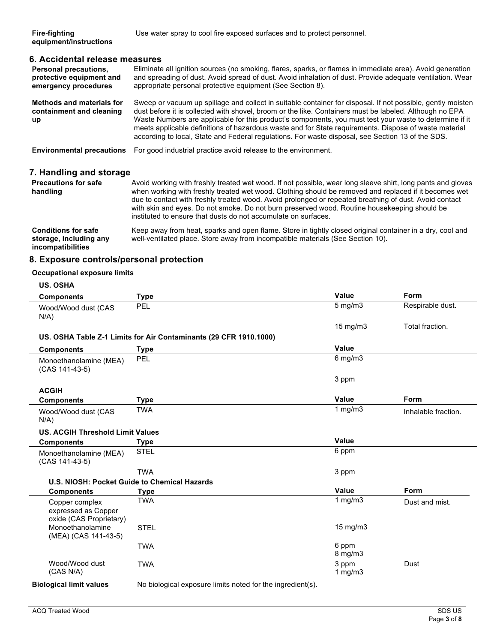### **6. Accidental release measures**

| <b>Personal precautions,</b><br>protective equipment and<br>emergency procedures | Eliminate all ignition sources (no smoking, flares, sparks, or flames in immediate area). Avoid generation<br>and spreading of dust. Avoid spread of dust. Avoid inhalation of dust. Provide adequate ventilation. Wear<br>appropriate personal protective equipment (See Section 8).                                                                                                                                                                                                                                                           |
|----------------------------------------------------------------------------------|-------------------------------------------------------------------------------------------------------------------------------------------------------------------------------------------------------------------------------------------------------------------------------------------------------------------------------------------------------------------------------------------------------------------------------------------------------------------------------------------------------------------------------------------------|
| <b>Methods and materials for</b><br>containment and cleaning<br><b>up</b>        | Sweep or vacuum up spillage and collect in suitable container for disposal. If not possible, gently moisten<br>dust before it is collected with shovel, broom or the like. Containers must be labeled. Although no EPA<br>Waste Numbers are applicable for this product's components, you must test your waste to determine if it<br>meets applicable definitions of hazardous waste and for State requirements. Dispose of waste material<br>according to local, State and Federal regulations. For waste disposal, see Section 13 of the SDS. |
| <b>Environmental precautions</b>                                                 | For good industrial practice avoid release to the environment.                                                                                                                                                                                                                                                                                                                                                                                                                                                                                  |

### **7. Handling and storage**

| <b>Precautions for safe</b><br>handling | Avoid working with freshly treated wet wood. If not possible, wear long sleeve shirt, long pants and gloves<br>when working with freshly treated wet wood. Clothing should be removed and replaced if it becomes wet<br>due to contact with freshly treated wood. Avoid prolonged or repeated breathing of dust. Avoid contact<br>with skin and eyes. Do not smoke. Do not burn preserved wood. Routine housekeeping should be<br>instituted to ensure that dusts do not accumulate on surfaces. |
|-----------------------------------------|--------------------------------------------------------------------------------------------------------------------------------------------------------------------------------------------------------------------------------------------------------------------------------------------------------------------------------------------------------------------------------------------------------------------------------------------------------------------------------------------------|
| <b>Conditions for safe</b>              | Keep away from heat, sparks and open flame. Store in tightly closed original container in a dry, cool and                                                                                                                                                                                                                                                                                                                                                                                        |
| storage, including any                  | well-ventilated place. Store away from incompatible materials (See Section 10).                                                                                                                                                                                                                                                                                                                                                                                                                  |

**incompatibilities**

well-ventilated place. Store away from incompatible materials (See Section 10).

## **8. Exposure controls/personal protection**

#### **Occupational exposure limits**

| <b>US. OSHA</b>                                                  |                                                                   |                     |                     |
|------------------------------------------------------------------|-------------------------------------------------------------------|---------------------|---------------------|
| <b>Components</b>                                                | <b>Type</b>                                                       | Value               | Form                |
| Wood/Wood dust (CAS<br>$N/A$ )                                   | PEL                                                               | $5$ mg/m $3$        | Respirable dust.    |
|                                                                  |                                                                   | 15 mg/m3            | Total fraction.     |
|                                                                  | US. OSHA Table Z-1 Limits for Air Contaminants (29 CFR 1910.1000) |                     |                     |
| <b>Components</b>                                                | <b>Type</b>                                                       | Value               |                     |
| Monoethanolamine (MEA)<br>(CAS 141-43-5)                         | PEL                                                               | $6$ mg/m $3$        |                     |
|                                                                  |                                                                   | 3 ppm               |                     |
| <b>ACGIH</b>                                                     |                                                                   |                     |                     |
| <b>Components</b>                                                | <b>Type</b>                                                       | Value               | Form                |
| Wood/Wood dust (CAS<br>$N/A$ )                                   | <b>TWA</b>                                                        | 1 $mg/m3$           | Inhalable fraction. |
| <b>US. ACGIH Threshold Limit Values</b>                          |                                                                   |                     |                     |
| <b>Components</b>                                                | <b>Type</b>                                                       | Value               |                     |
| Monoethanolamine (MEA)<br>(CAS 141-43-5)                         | <b>STEL</b>                                                       | 6 ppm               |                     |
|                                                                  | <b>TWA</b>                                                        | 3 ppm               |                     |
| U.S. NIOSH: Pocket Guide to Chemical Hazards                     |                                                                   |                     |                     |
| <b>Components</b>                                                | <b>Type</b>                                                       | <b>Value</b>        | Form                |
| Copper complex<br>expressed as Copper<br>oxide (CAS Proprietary) | <b>TWA</b>                                                        | 1 $mg/m3$           | Dust and mist.      |
| Monoethanolamine<br>(MEA) (CAS 141-43-5)                         | <b>STEL</b>                                                       | 15 mg/m3            |                     |
|                                                                  | <b>TWA</b>                                                        | 6 ppm<br>8 mg/m3    |                     |
| Wood/Wood dust<br>(CAS N/A)                                      | <b>TWA</b>                                                        | 3 ppm<br>1 mg/m $3$ | Dust                |
| <b>Biological limit values</b>                                   | No biological exposure limits noted for the ingredient(s).        |                     |                     |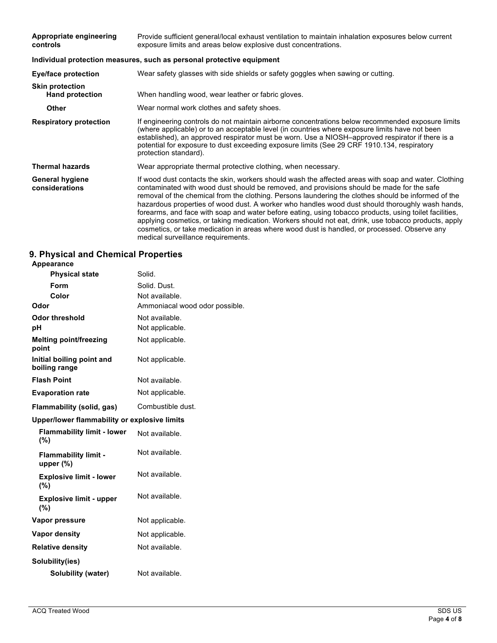| Appropriate engineering<br>controls              | Provide sufficient general/local exhaust ventilation to maintain inhalation exposures below current<br>exposure limits and areas below explosive dust concentrations.                                                                                                                                                                                                                                                                                                                                                                                                                                                                                                                                                                                               |  |
|--------------------------------------------------|---------------------------------------------------------------------------------------------------------------------------------------------------------------------------------------------------------------------------------------------------------------------------------------------------------------------------------------------------------------------------------------------------------------------------------------------------------------------------------------------------------------------------------------------------------------------------------------------------------------------------------------------------------------------------------------------------------------------------------------------------------------------|--|
|                                                  | Individual protection measures, such as personal protective equipment                                                                                                                                                                                                                                                                                                                                                                                                                                                                                                                                                                                                                                                                                               |  |
| Eye/face protection                              | Wear safety glasses with side shields or safety goggles when sawing or cutting.                                                                                                                                                                                                                                                                                                                                                                                                                                                                                                                                                                                                                                                                                     |  |
| <b>Skin protection</b><br><b>Hand protection</b> | When handling wood, wear leather or fabric gloves.                                                                                                                                                                                                                                                                                                                                                                                                                                                                                                                                                                                                                                                                                                                  |  |
| <b>Other</b>                                     | Wear normal work clothes and safety shoes.                                                                                                                                                                                                                                                                                                                                                                                                                                                                                                                                                                                                                                                                                                                          |  |
| <b>Respiratory protection</b>                    | If engineering controls do not maintain airborne concentrations below recommended exposure limits<br>(where applicable) or to an acceptable level (in countries where exposure limits have not been<br>established), an approved respirator must be worn. Use a NIOSH-approved respirator if there is a<br>potential for exposure to dust exceeding exposure limits (See 29 CRF 1910.134, respiratory<br>protection standard).                                                                                                                                                                                                                                                                                                                                      |  |
| <b>Thermal hazards</b>                           | Wear appropriate thermal protective clothing, when necessary.                                                                                                                                                                                                                                                                                                                                                                                                                                                                                                                                                                                                                                                                                                       |  |
| <b>General hygiene</b><br>considerations         | If wood dust contacts the skin, workers should wash the affected areas with soap and water. Clothing<br>contaminated with wood dust should be removed, and provisions should be made for the safe<br>removal of the chemical from the clothing. Persons laundering the clothes should be informed of the<br>hazardous properties of wood dust. A worker who handles wood dust should thoroughly wash hands,<br>forearms, and face with soap and water before eating, using tobacco products, using toilet facilities,<br>applying cosmetics, or taking medication. Workers should not eat, drink, use tobacco products, apply<br>cosmetics, or take medication in areas where wood dust is handled, or processed. Observe any<br>medical surveillance requirements. |  |

### **9. Physical and Chemical Properties**

| <b>Appearance</b>                            |                                |
|----------------------------------------------|--------------------------------|
| <b>Physical state</b>                        | Solid.                         |
| Form                                         | Solid. Dust.                   |
| Color                                        | Not available.                 |
| Odor                                         | Ammoniacal wood odor possible. |
| <b>Odor threshold</b>                        | Not available.                 |
| рH                                           | Not applicable.                |
| <b>Melting point/freezing</b><br>point       | Not applicable.                |
| Initial boiling point and<br>boiling range   | Not applicable.                |
| <b>Flash Point</b>                           | Not available.                 |
| <b>Evaporation rate</b>                      | Not applicable.                |
| Flammability (solid, gas)                    | Combustible dust.              |
| Upper/lower flammability or explosive limits |                                |
| <b>Flammability limit - lower</b><br>(%)     | Not available.                 |
| <b>Flammability limit -</b><br>upper $(\%)$  | Not available.                 |
| <b>Explosive limit - lower</b><br>(%)        | Not available.                 |
| <b>Explosive limit - upper</b><br>(%)        | Not available.                 |
| Vapor pressure                               | Not applicable.                |
| Vapor density                                | Not applicable.                |
| <b>Relative density</b>                      | Not available.                 |
| Solubility(ies)                              |                                |
| Solubility (water)                           | Not available.                 |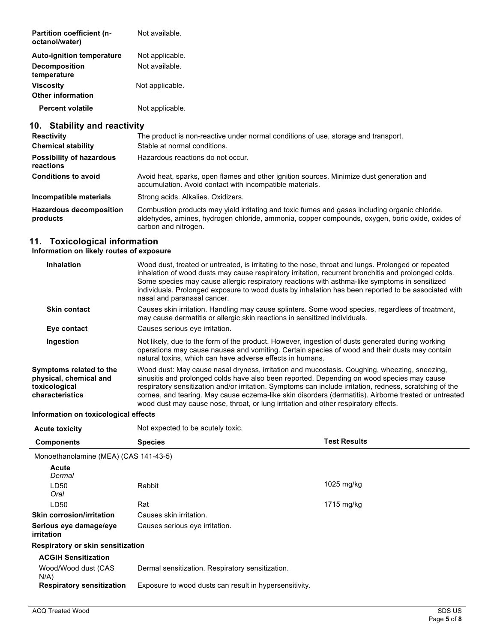| Partition coefficient (n-<br>octanol/water)  | Not available.  |
|----------------------------------------------|-----------------|
| <b>Auto-ignition temperature</b>             | Not applicable. |
| <b>Decomposition</b><br>temperature          | Not available.  |
| <b>Viscosity</b><br><b>Other information</b> | Not applicable. |
| <b>Percent volatile</b>                      | Not applicable. |

# **10. Stability and reactivity**

| <b>Reactivity</b>                            | The product is non-reactive under normal conditions of use, storage and transport.                                                                                                                                        |  |
|----------------------------------------------|---------------------------------------------------------------------------------------------------------------------------------------------------------------------------------------------------------------------------|--|
| <b>Chemical stability</b>                    | Stable at normal conditions.                                                                                                                                                                                              |  |
| <b>Possibility of hazardous</b><br>reactions | Hazardous reactions do not occur.                                                                                                                                                                                         |  |
| <b>Conditions to avoid</b>                   | Avoid heat, sparks, open flames and other ignition sources. Minimize dust generation and<br>accumulation. Avoid contact with incompatible materials.                                                                      |  |
| Incompatible materials                       | Strong acids. Alkalies. Oxidizers.                                                                                                                                                                                        |  |
| <b>Hazardous decomposition</b><br>products   | Combustion products may yield irritating and toxic fumes and gases including organic chloride,<br>aldehydes, amines, hydrogen chloride, ammonia, copper compounds, oxygen, boric oxide, oxides of<br>carbon and nitrogen. |  |

### **11. Toxicological information**

#### **Information on likely routes of exposure**

| <b>Inhalation</b>                                                                     | Wood dust, treated or untreated, is irritating to the nose, throat and lungs. Prolonged or repeated<br>inhalation of wood dusts may cause respiratory irritation, recurrent bronchitis and prolonged colds.<br>Some species may cause allergic respiratory reactions with asthma-like symptoms in sensitized<br>individuals. Prolonged exposure to wood dusts by inhalation has been reported to be associated with<br>nasal and paranasal cancer.                                                     |
|---------------------------------------------------------------------------------------|--------------------------------------------------------------------------------------------------------------------------------------------------------------------------------------------------------------------------------------------------------------------------------------------------------------------------------------------------------------------------------------------------------------------------------------------------------------------------------------------------------|
| <b>Skin contact</b>                                                                   | Causes skin irritation. Handling may cause splinters. Some wood species, regardless of treatment,<br>may cause dermatitis or allergic skin reactions in sensitized individuals.                                                                                                                                                                                                                                                                                                                        |
| Eye contact                                                                           | Causes serious eye irritation.                                                                                                                                                                                                                                                                                                                                                                                                                                                                         |
| Ingestion                                                                             | Not likely, due to the form of the product. However, ingestion of dusts generated during working<br>operations may cause nausea and vomiting. Certain species of wood and their dusts may contain<br>natural toxins, which can have adverse effects in humans.                                                                                                                                                                                                                                         |
| Symptoms related to the<br>physical, chemical and<br>toxicological<br>characteristics | Wood dust: May cause nasal dryness, irritation and mucostasis. Coughing, wheezing, sneezing,<br>sinusitis and prolonged colds have also been reported. Depending on wood species may cause<br>respiratory sensitization and/or irritation. Symptoms can include irritation, redness, scratching of the<br>cornea, and tearing. May cause eczema-like skin disorders (dermatitis). Airborne treated or untreated<br>wood dust may cause nose, throat, or lung irritation and other respiratory effects. |
|                                                                                       |                                                                                                                                                                                                                                                                                                                                                                                                                                                                                                        |

#### **Information on toxicological effects**

| <b>Acute toxicity</b>                       | Not expected to be acutely toxic.                      |                     |
|---------------------------------------------|--------------------------------------------------------|---------------------|
| <b>Components</b>                           | <b>Species</b>                                         | <b>Test Results</b> |
| Monoethanolamine (MEA) (CAS 141-43-5)       |                                                        |                     |
| Acute<br>Dermal<br>I D50                    | Rabbit                                                 | 1025 mg/kg          |
| Oral                                        |                                                        |                     |
| LD50                                        | Rat                                                    | $1715$ mg/kg        |
| <b>Skin corrosion/irritation</b>            | Causes skin irritation.                                |                     |
| Serious eye damage/eye<br><i>irritation</i> | Causes serious eye irritation.                         |                     |
| Respiratory or skin sensitization           |                                                        |                     |
| <b>ACGIH Sensitization</b>                  |                                                        |                     |
| Wood/Wood dust (CAS<br>$N/A$ )              | Dermal sensitization. Respiratory sensitization.       |                     |
| <b>Respiratory sensitization</b>            | Exposure to wood dusts can result in hypersensitivity. |                     |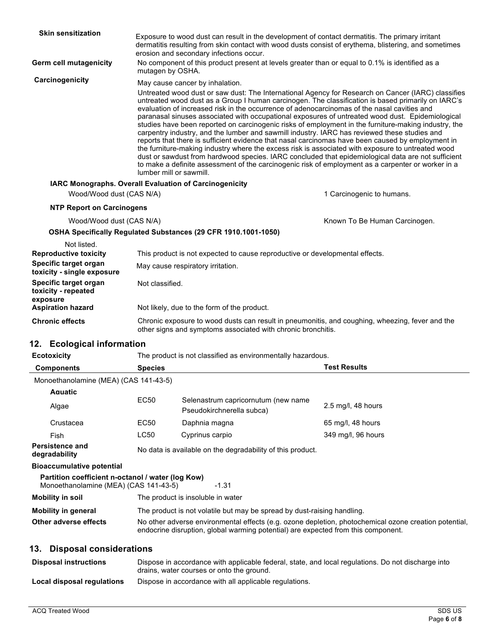| <b>Skin sensitization</b>                                                                          | erosion and secondary infections occur.                                                                                                                                                                                                                                                                                                                                                                                                                                                                                                                                                                                                                                                                                                                                                                                                                                                                                                                                                                                                                                                                 | Exposure to wood dust can result in the development of contact dermatitis. The primary irritant<br>dermatitis resulting from skin contact with wood dusts consist of erythema, blistering, and sometimes |  |
|----------------------------------------------------------------------------------------------------|---------------------------------------------------------------------------------------------------------------------------------------------------------------------------------------------------------------------------------------------------------------------------------------------------------------------------------------------------------------------------------------------------------------------------------------------------------------------------------------------------------------------------------------------------------------------------------------------------------------------------------------------------------------------------------------------------------------------------------------------------------------------------------------------------------------------------------------------------------------------------------------------------------------------------------------------------------------------------------------------------------------------------------------------------------------------------------------------------------|----------------------------------------------------------------------------------------------------------------------------------------------------------------------------------------------------------|--|
| Germ cell mutagenicity                                                                             | mutagen by OSHA.                                                                                                                                                                                                                                                                                                                                                                                                                                                                                                                                                                                                                                                                                                                                                                                                                                                                                                                                                                                                                                                                                        | No component of this product present at levels greater than or equal to 0.1% is identified as a                                                                                                          |  |
| Carcinogenicity                                                                                    | May cause cancer by inhalation.<br>Untreated wood dust or saw dust: The International Agency for Research on Cancer (IARC) classifies<br>untreated wood dust as a Group I human carcinogen. The classification is based primarily on IARC's<br>evaluation of increased risk in the occurrence of adenocarcinomas of the nasal cavities and<br>paranasal sinuses associated with occupational exposures of untreated wood dust. Epidemiological<br>studies have been reported on carcinogenic risks of employment in the furniture-making industry, the<br>carpentry industry, and the lumber and sawmill industry. IARC has reviewed these studies and<br>reports that there is sufficient evidence that nasal carcinomas have been caused by employment in<br>the furniture-making industry where the excess risk is associated with exposure to untreated wood<br>dust or sawdust from hardwood species. IARC concluded that epidemiological data are not sufficient<br>to make a definite assessment of the carcinogenic risk of employment as a carpenter or worker in a<br>lumber mill or sawmill. |                                                                                                                                                                                                          |  |
|                                                                                                    | <b>IARC Monographs. Overall Evaluation of Carcinogenicity</b>                                                                                                                                                                                                                                                                                                                                                                                                                                                                                                                                                                                                                                                                                                                                                                                                                                                                                                                                                                                                                                           |                                                                                                                                                                                                          |  |
| Wood/Wood dust (CAS N/A)                                                                           |                                                                                                                                                                                                                                                                                                                                                                                                                                                                                                                                                                                                                                                                                                                                                                                                                                                                                                                                                                                                                                                                                                         | 1 Carcinogenic to humans.                                                                                                                                                                                |  |
| <b>NTP Report on Carcinogens</b>                                                                   |                                                                                                                                                                                                                                                                                                                                                                                                                                                                                                                                                                                                                                                                                                                                                                                                                                                                                                                                                                                                                                                                                                         |                                                                                                                                                                                                          |  |
| Wood/Wood dust (CAS N/A)                                                                           |                                                                                                                                                                                                                                                                                                                                                                                                                                                                                                                                                                                                                                                                                                                                                                                                                                                                                                                                                                                                                                                                                                         | Known To Be Human Carcinogen.                                                                                                                                                                            |  |
|                                                                                                    | OSHA Specifically Regulated Substances (29 CFR 1910.1001-1050)                                                                                                                                                                                                                                                                                                                                                                                                                                                                                                                                                                                                                                                                                                                                                                                                                                                                                                                                                                                                                                          |                                                                                                                                                                                                          |  |
| Not listed.<br><b>Reproductive toxicity</b><br>Specific target organ<br>toxicity - single exposure | This product is not expected to cause reproductive or developmental effects.<br>May cause respiratory irritation.                                                                                                                                                                                                                                                                                                                                                                                                                                                                                                                                                                                                                                                                                                                                                                                                                                                                                                                                                                                       |                                                                                                                                                                                                          |  |
| Specific target organ<br>toxicity - repeated<br>exposure                                           | Not classified.                                                                                                                                                                                                                                                                                                                                                                                                                                                                                                                                                                                                                                                                                                                                                                                                                                                                                                                                                                                                                                                                                         |                                                                                                                                                                                                          |  |
| <b>Aspiration hazard</b>                                                                           | Not likely, due to the form of the product.                                                                                                                                                                                                                                                                                                                                                                                                                                                                                                                                                                                                                                                                                                                                                                                                                                                                                                                                                                                                                                                             |                                                                                                                                                                                                          |  |

**Chronic effects** Chronic exposure to wood dusts can result in pneumonitis, and coughing, wheezing, fever and the other signs and symptoms associated with chronic bronchitis.

### **12. Ecological information**

| <b>Ecotoxicity</b>                                                                                    | The product is not classified as environmentally hazardous.                                                                                                                                |                                                                  |                      |  |  |
|-------------------------------------------------------------------------------------------------------|--------------------------------------------------------------------------------------------------------------------------------------------------------------------------------------------|------------------------------------------------------------------|----------------------|--|--|
| <b>Components</b>                                                                                     | <b>Species</b>                                                                                                                                                                             |                                                                  | <b>Test Results</b>  |  |  |
| Monoethanolamine (MEA) (CAS 141-43-5)                                                                 |                                                                                                                                                                                            |                                                                  |                      |  |  |
| Aquatic                                                                                               |                                                                                                                                                                                            |                                                                  |                      |  |  |
| Algae                                                                                                 | EC50                                                                                                                                                                                       | Selenastrum capricornutum (new name<br>Pseudokirchnerella subca) | $2.5$ mg/l, 48 hours |  |  |
| Crustacea                                                                                             | EC50                                                                                                                                                                                       | Daphnia magna                                                    | 65 mg/l, 48 hours    |  |  |
| Fish                                                                                                  | LC50                                                                                                                                                                                       | Cyprinus carpio                                                  | 349 mg/l, 96 hours   |  |  |
| <b>Persistence and</b><br>degradability                                                               | No data is available on the degradability of this product.                                                                                                                                 |                                                                  |                      |  |  |
| <b>Bioaccumulative potential</b>                                                                      |                                                                                                                                                                                            |                                                                  |                      |  |  |
| Partition coefficient n-octanol / water (log Kow)<br>Monoethanolamine (MEA) (CAS 141-43-5)<br>$-1.31$ |                                                                                                                                                                                            |                                                                  |                      |  |  |
| Mobility in soil                                                                                      |                                                                                                                                                                                            | The product is insoluble in water                                |                      |  |  |
| <b>Mobility in general</b>                                                                            | The product is not volatile but may be spread by dust-raising handling.                                                                                                                    |                                                                  |                      |  |  |
| Other adverse effects                                                                                 | No other adverse environmental effects (e.g. ozone depletion, photochemical ozone creation potential,<br>endocrine disruption, global warming potential) are expected from this component. |                                                                  |                      |  |  |
| 13.<br><b>Disposal considerations</b>                                                                 |                                                                                                                                                                                            |                                                                  |                      |  |  |

### Disposal instructions **Dispose in accordance with applicable federal**, state, and local regulations. Do not discharge into drains, water courses or onto the ground. **Local disposal regulations** Dispose in accordance with all applicable regulations.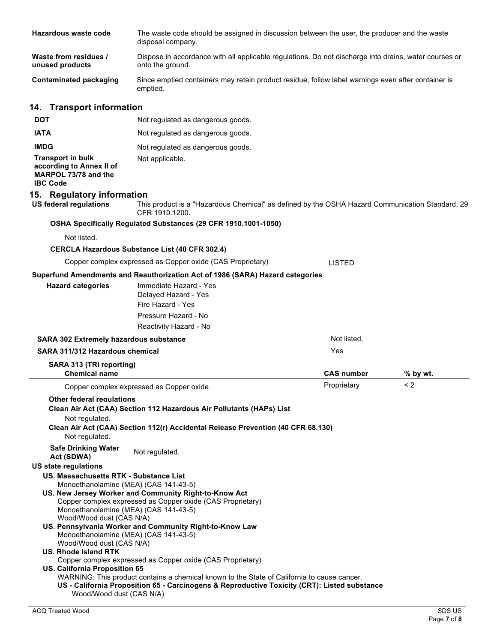| Hazardous waste code                                                                                                                                                                                                                  | The waste code should be assigned in discussion between the user, the producer and the waste<br>disposal company.                                        |                   |          |
|---------------------------------------------------------------------------------------------------------------------------------------------------------------------------------------------------------------------------------------|----------------------------------------------------------------------------------------------------------------------------------------------------------|-------------------|----------|
| Waste from residues /<br>unused products                                                                                                                                                                                              | Dispose in accordance with all applicable regulations. Do not discharge into drains, water courses or<br>onto the ground.                                |                   |          |
| <b>Contaminated packaging</b>                                                                                                                                                                                                         | Since emptied containers may retain product residue, follow label warnings even after container is<br>emptied.                                           |                   |          |
| 14. Transport information                                                                                                                                                                                                             |                                                                                                                                                          |                   |          |
| <b>DOT</b>                                                                                                                                                                                                                            | Not regulated as dangerous goods.                                                                                                                        |                   |          |
| <b>IATA</b>                                                                                                                                                                                                                           | Not regulated as dangerous goods.                                                                                                                        |                   |          |
| <b>IMDG</b>                                                                                                                                                                                                                           | Not regulated as dangerous goods.                                                                                                                        |                   |          |
| <b>Transport in bulk</b><br>according to Annex II of<br>MARPOL 73/78 and the<br><b>IBC Code</b>                                                                                                                                       | Not applicable.                                                                                                                                          |                   |          |
| 15. Regulatory information<br><b>US federal regulations</b>                                                                                                                                                                           | This product is a "Hazardous Chemical" as defined by the OSHA Hazard Communication Standard, 29<br>CFR 1910.1200.                                        |                   |          |
|                                                                                                                                                                                                                                       | OSHA Specifically Regulated Substances (29 CFR 1910.1001-1050)                                                                                           |                   |          |
| Not listed.                                                                                                                                                                                                                           |                                                                                                                                                          |                   |          |
|                                                                                                                                                                                                                                       | <b>CERCLA Hazardous Substance List (40 CFR 302.4)</b>                                                                                                    |                   |          |
|                                                                                                                                                                                                                                       | Copper complex expressed as Copper oxide (CAS Proprietary)                                                                                               | <b>LISTED</b>     |          |
|                                                                                                                                                                                                                                       | Superfund Amendments and Reauthorization Act of 1986 (SARA) Hazard categories                                                                            |                   |          |
| <b>Hazard categories</b>                                                                                                                                                                                                              | Immediate Hazard - Yes<br>Delayed Hazard - Yes<br>Fire Hazard - Yes                                                                                      |                   |          |
|                                                                                                                                                                                                                                       | Pressure Hazard - No<br>Reactivity Hazard - No                                                                                                           |                   |          |
| <b>SARA 302 Extremely hazardous substance</b>                                                                                                                                                                                         |                                                                                                                                                          | Not listed.       |          |
| SARA 311/312 Hazardous chemical                                                                                                                                                                                                       |                                                                                                                                                          | Yes               |          |
| SARA 313 (TRI reporting)<br><b>Chemical name</b>                                                                                                                                                                                      |                                                                                                                                                          | <b>CAS number</b> | % by wt. |
|                                                                                                                                                                                                                                       | Copper complex expressed as Copper oxide                                                                                                                 | Proprietary       | < 2      |
| <b>Other federal requiations</b><br>Not regulated.<br>Not regulated.                                                                                                                                                                  | Clean Air Act (CAA) Section 112 Hazardous Air Pollutants (HAPs) List<br>Clean Air Act (CAA) Section 112(r) Accidental Release Prevention (40 CFR 68.130) |                   |          |
| <b>Safe Drinking Water</b><br>Act (SDWA)                                                                                                                                                                                              | Not regulated.                                                                                                                                           |                   |          |
| <b>US state regulations</b><br>US. Massachusetts RTK - Substance List<br>Monoethanolamine (MEA) (CAS 141-43-5)<br>US. New Jersey Worker and Community Right-to-Know Act<br>Copper complex expressed as Copper oxide (CAS Proprietary) |                                                                                                                                                          |                   |          |